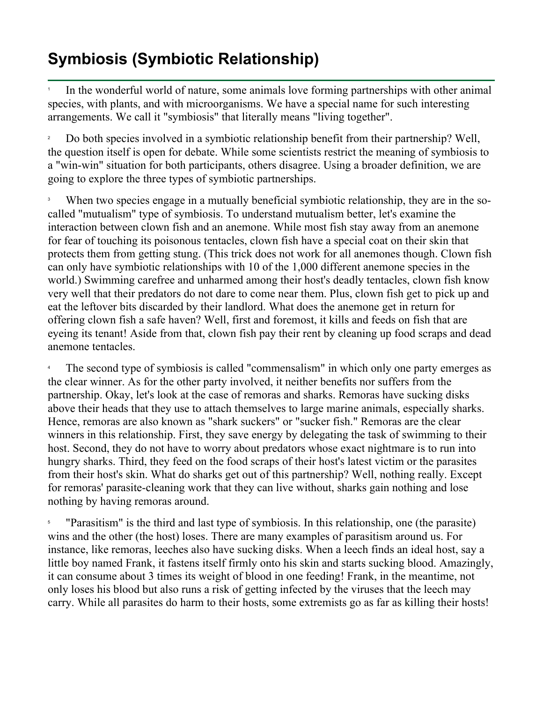## **Symbiosis (Symbiotic Relationship)**

1 In the wonderful world of nature, some animals love forming partnerships with other animal species, with plants, and with microorganisms. We have a special name for such interesting arrangements. We call it "symbiosis" that literally means "living together".

2 Do both species involved in a symbiotic relationship benefit from their partnership? Well, the question itself is open for debate. While some scientists restrict the meaning of symbiosis to a "win-win" situation for both participants, others disagree. Using a broader definition, we are going to explore the three types of symbiotic partnerships.

3 When two species engage in a mutually beneficial symbiotic relationship, they are in the socalled "mutualism" type of symbiosis. To understand mutualism better, let's examine the interaction between clown fish and an anemone. While most fish stay away from an anemone for fear of touching its poisonous tentacles, clown fish have a special coat on their skin that protects them from getting stung. (This trick does not work for all anemones though. Clown fish can only have symbiotic relationships with 10 of the 1,000 different anemone species in the world.) Swimming carefree and unharmed among their host's deadly tentacles, clown fish know very well that their predators do not dare to come near them. Plus, clown fish get to pick up and eat the leftover bits discarded by their landlord. What does the anemone get in return for offering clown fish a safe haven? Well, first and foremost, it kills and feeds on fish that are eyeing its tenant! Aside from that, clown fish pay their rent by cleaning up food scraps and dead anemone tentacles.

4 The second type of symbiosis is called "commensalism" in which only one party emerges as the clear winner. As for the other party involved, it neither benefits nor suffers from the partnership. Okay, let's look at the case of remoras and sharks. Remoras have sucking disks above their heads that they use to attach themselves to large marine animals, especially sharks. Hence, remoras are also known as "shark suckers" or "sucker fish." Remoras are the clear winners in this relationship. First, they save energy by delegating the task of swimming to their host. Second, they do not have to worry about predators whose exact nightmare is to run into hungry sharks. Third, they feed on the food scraps of their host's latest victim or the parasites from their host's skin. What do sharks get out of this partnership? Well, nothing really. Except for remoras' parasite-cleaning work that they can live without, sharks gain nothing and lose nothing by having remoras around.

5 "Parasitism" is the third and last type of symbiosis. In this relationship, one (the parasite) wins and the other (the host) loses. There are many examples of parasitism around us. For instance, like remoras, leeches also have sucking disks. When a leech finds an ideal host, say a little boy named Frank, it fastens itself firmly onto his skin and starts sucking blood. Amazingly, it can consume about 3 times its weight of blood in one feeding! Frank, in the meantime, not only loses his blood but also runs a risk of getting infected by the viruses that the leech may carry. While all parasites do harm to their hosts, some extremists go as far as killing their hosts!